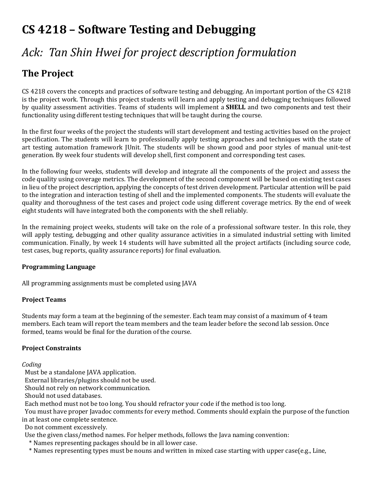# **CS 4218 – Software Testing and Debugging**

# *Ack: Tan Shin Hwei for project description formulation*

## **The Project**

CS 4218 covers the concepts and practices of software testing and debugging. An important portion of the CS 4218 is the project work. Through this project students will learn and apply testing and debugging techniques followed by quality assessment activities. Teams of students will implement a **SHELL** and two components and test their functionality using different testing techniques that will be taught during the course.

In the first four weeks of the project the students will start development and testing activities based on the project specification. The students will learn to professionally apply testing approaches and techniques with the state of art testing automation framework JUnit. The students will be shown good and poor styles of manual unit-test generation. By week four students will develop shell, first component and corresponding test cases.

In the following four weeks, students will develop and integrate all the components of the project and assess the code quality using coverage metrics. The development of the second component will be based on existing test cases in lieu of the project description, applying the concepts of test driven development. Particular attention will be paid to the integration and interaction testing of shell and the implemented components. The students will evaluate the quality and thoroughness of the test cases and project code using different coverage metrics. By the end of week eight students will have integrated both the components with the shell reliably.

In the remaining project weeks, students will take on the role of a professional software tester. In this role, they will apply testing, debugging and other quality assurance activities in a simulated industrial setting with limited communication. Finally, by week 14 students will have submitted all the project artifacts (including source code, test cases, bug reports, quality assurance reports) for final evaluation.

#### **Programming Language**

All programming assignments must be completed using JAVA

#### **Project Teams**

Students may form a team at the beginning of the semester. Each team may consist of a maximum of 4 team members. Each team will report the team members and the team leader before the second lab session. Once formed, teams would be final for the duration of the course.

#### **Project Constraints**

#### *Coding*

Must be a standalone JAVA application.

External libraries/plugins should not be used.

Should not rely on network communication.

Should not used databases.

Each method must not be too long. You should refractor your code if the method is too long.

You must have proper Javadoc comments for every method. Comments should explain the purpose of the function in at least one complete sentence.

Do not comment excessively.

Use the given class/method names. For helper methods, follows the Java naming convention:

\* Names representing packages should be in all lower case.

\* Names representing types must be nouns and written in mixed case starting with upper case(e.g., Line,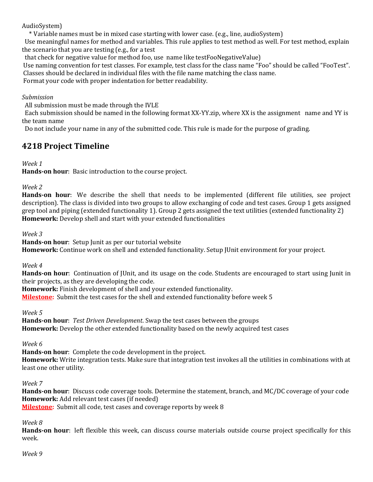AudioSystem)

\* Variable names must be in mixed case starting with lower case. (e.g., line, audioSystem)

 Use meaningful names for method and variables. This rule applies to test method as well. For test method, explain the scenario that you are testing (e.g., for a test

that check for negative value for method foo, use name like testFooNegativeValue)

Use naming convention for test classes. For example, test class for the class name "Foo" should be called "FooTest". Classes should be declared in individual files with the file name matching the class name.

Format your code with proper indentation for better readability.

#### *Submission*

All submission must be made through the IVLE

 Each submission should be named in the following format XX-YY.zip, where XX is the assignment name and YY is the team name

Do not include your name in any of the submitted code. This rule is made for the purpose of grading.

### **4218 Project Timeline**

#### *Week 1*

**Hands-on hour**: Basic introduction to the course project.

#### *Week 2*

**Hands-on hour**: We describe the shell that needs to be implemented (different file utilities, see project description). The class is divided into two groups to allow exchanging of code and test cases. Group 1 gets assigned grep tool and piping (extended functionality 1). Group 2 gets assigned the text utilities (extended functionality 2) **Homework:** Develop shell and start with your extended functionalities

*Week 3* 

**Hands-on hour**: Setup Junit as per our tutorial website

**Homework:** Continue work on shell and extended functionality. Setup JUnit environment for your project.

#### *Week 4*

**Hands-on hour**: Continuation of JUnit, and its usage on the code. Students are encouraged to start using Junit in their projects, as they are developing the code.

**Homework:** Finish development of shell and your extended functionality.

**Milestone:** Submit the test cases for the shell and extended functionality before week 5

#### *Week 5*

**Hands-on hour**: *Test Driven Development*. Swap the test cases between the groups **Homework:** Develop the other extended functionality based on the newly acquired test cases

#### *Week 6*

**Hands-on hour**: Complete the code development in the project. **Homework:** Write integration tests. Make sure that integration test invokes all the utilities in combinations with at least one other utility.

#### *Week 7*

**Hands-on hour**: Discuss code coverage tools. Determine the statement, branch, and MC/DC coverage of your code **Homework:** Add relevant test cases (if needed) **Milestone:** Submit all code, test cases and coverage reports by week 8

#### *Week 8*

**Hands-on hour**: left flexible this week, can discuss course materials outside course project specifically for this week.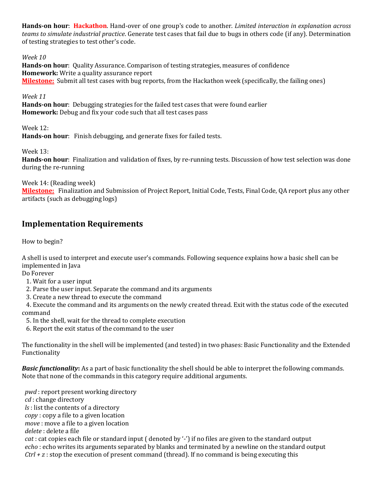**Hands-on hour**: **Hackathon**. Hand-over of one group's code to another. *Limited interaction in explanation across teams to simulate industrial practice*. Generate test cases that fail due to bugs in others code (if any). Determination of testing strategies to test other's code.

*Week 10* 

**Hands-on hour**: Quality Assurance. Comparison of testing strategies, measures of confidence **Homework:** Write a quality assurance report **Milestone:** Submit all test cases with bug reports, from the Hackathon week (specifically, the failing ones)

*Week 11*

**Hands-on hour**: Debugging strategies for the failed test cases that were found earlier **Homework:** Debug and fix your code such that all test cases pass

Week 12: **Hands-on hour**: Finish debugging, and generate fixes for failed tests.

Week 13:

**Hands-on hour**: Finalization and validation of fixes, by re-running tests. Discussion of how test selection was done during the re-running

Week 14: (Reading week)

**Milestone:** Finalization and Submission of Project Report, Initial Code, Tests, Final Code, QA report plus any other artifacts (such as debugging logs)

### **Implementation Requirements**

How to begin?

A shell is used to interpret and execute user's commands. Following sequence explains how a basic shell can be implemented in Java

Do Forever

1. Wait for a user input

2. Parse the user input. Separate the command and its arguments

3. Create a new thread to execute the command

 4. Execute the command and its arguments on the newly created thread. Exit with the status code of the executed command

5. In the shell, wait for the thread to complete execution

6. Report the exit status of the command to the user

The functionality in the shell will be implemented (and tested) in two phases: Basic Functionality and the Extended Functionality

*Basic functionality***:** As a part of basic functionality the shell should be able to interpret the following commands. Note that none of the commands in this category require additional arguments.

 *pwd* : report present working directory *cd* : change directory *ls* : list the contents of a directory *copy* : copy a file to a given location *move* : move a file to a given location *delete* : delete a file *cat* : cat copies each file or standard input ( denoted by '-') if no files are given to the standard output *echo* : echo writes its arguments separated by blanks and terminated by a newline on the standard output *Ctrl + z* : stop the execution of present command (thread). If no command is being executing this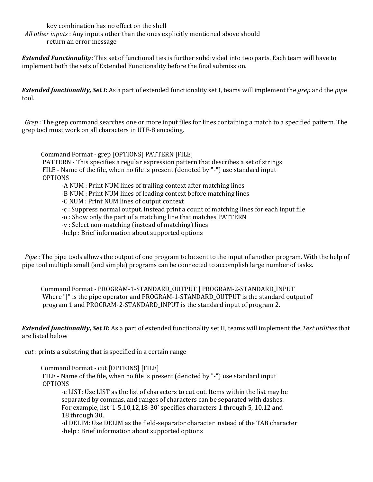key combination has no effect on the shell

 *All other inputs* : Any inputs other than the ones explicitly mentioned above should return an error message

*Extended Functionality***:** This set of functionalities is further subdivided into two parts. Each team will have to implement both the sets of Extended Functionality before the final submission.

*Extended functionality, Set I***:** As a part of extended functionality set I, teams will implement the *grep* and the *pip*e tool.

 *Grep* : The grep command searches one or more input files for lines containing a match to a specified pattern. The grep tool must work on all characters in UTF-8 encoding.

 Command Format - grep [OPTIONS] PATTERN [FILE] PATTERN - This specifies a regular expression pattern that describes a set of strings FILE - Name of the file, when no file is present (denoted by "-") use standard input OPTIONS -A NUM : Print NUM lines of trailing context after matching lines -B NUM : Print NUM lines of leading context before matching lines -C NUM : Print NUM lines of output context -c : Suppress normal output. Instead print a count of matching lines for each input file -o : Show only the part of a matching line that matches PATTERN

-v : Select non-matching (instead of matching) lines

-help : Brief information about supported options

 *Pipe* : The pipe tools allows the output of one program to be sent to the input of another program. With the help of pipe tool multiple small (and simple) programs can be connected to accomplish large number of tasks.

 Command Format - PROGRAM-1-STANDARD\_OUTPUT | PROGRAM-2-STANDARD\_INPUT Where "|" is the pipe operator and PROGRAM-1-STANDARD OUTPUT is the standard output of program 1 and PROGRAM-2-STANDARD\_INPUT is the standard input of program 2.

*Extended functionality, Set II***:** As a part of extended functionality set II, teams will implement the *Text utilities* that are listed below

*cut* : prints a substring that is specified in a certain range

Command Format - cut [OPTIONS] [FILE]

 FILE - Name of the file, when no file is present (denoted by "-") use standard input OPTIONS

 -c LIST: Use LIST as the list of characters to cut out. Items within the list may be separated by commas, and ranges of characters can be separated with dashes. For example, list '1-5,10,12,18-30' specifies characters 1 through 5, 10,12 and 18 through 30.

 -d DELIM: Use DELIM as the field-separator character instead of the TAB character -help : Brief information about supported options